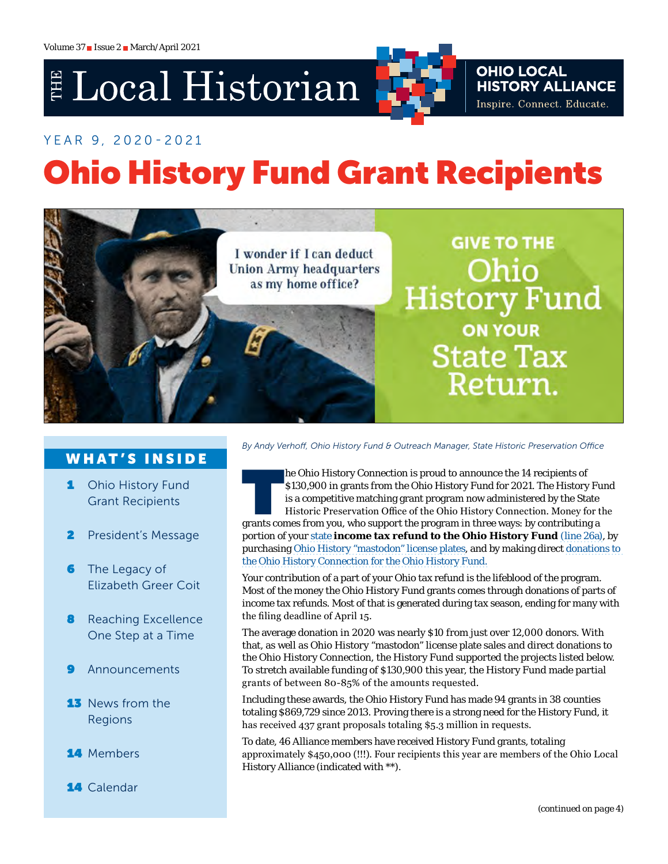# E Local Historian

# YEAR 9, 2020-2021 Ohio History Fund Grant Recipients



### WHAT'S INSIDE

- 1 Ohio History Fund Grant Recipients
- 2 [President's Message](#page-1-0)
- **6** The Legacy of [Elizabeth Greer Coit](#page-5-0)
- **8** [Reaching Excellence](#page-7-0) [One Step at a Time](#page-7-0)
- **[Announcements](#page-8-0)**
- **13** News from the [Regions](#page-12-0)
- 14 [Members](#page-13-0)
- 14 [Calendar](#page-13-0)

*By Andy Verhoff, Ohio History Fund & Outreach Manager, State Historic Preservation Office*

The Ohio History Connection is proud to announce the 14 recipients of<br>S130,900 in grants from the Ohio History Fund for 2021. The History<br>is a competitive matching grant program now administered by the Sta<br>Historic Preserv \$130,900 in grants from the Ohio History Fund for 2021. The History Fund is a competitive matching grant program now administered by the State Historic Preservation Office of the Ohio History Connection. Money for the grants comes from you, who support the program in three ways: by contributing a portion of your state **income tax refund to the Ohio History Fund** [\(line 26a](https://tax.ohio.gov/static/forms/ohio_individual/individual/2020/pit-it1040-bundle.pdf)), by purchasing Ohio History "mastodon" license plates, and by making direct [donations](https://13329a.blackbaudhosting.com/13329a/History-Fund) to the Ohio History Connection for the Ohio History Fund.

Your contribution of a part of your Ohio tax refund is the lifeblood of the program. Most of the money the Ohio History Fund grants comes through donations of parts of income tax refunds. Most of that is generated during tax season, ending for many with the filing deadline of April 15.

The average donation in 2020 was nearly \$10 from just over 12,000 donors. With that, as well as Ohio History "mastodon" license plate sales and direct donations to the Ohio History Connection, the History Fund supported the projects listed below. To stretch available funding of \$130,900 this year, the History Fund made partial grants of between 80-85% of the amounts requested.

Including these awards, the Ohio History Fund has made 94 grants in 38 counties totaling \$869,729 since 2013. Proving there is a strong need for the History Fund, it has received 437 grant proposals totaling \$5.3 million in requests.

To date, 46 Alliance members have received History Fund grants, totaling approximately \$450,000 (!!!). Four recipients this year are members of the Ohio Local History Alliance (indicated with \*\*).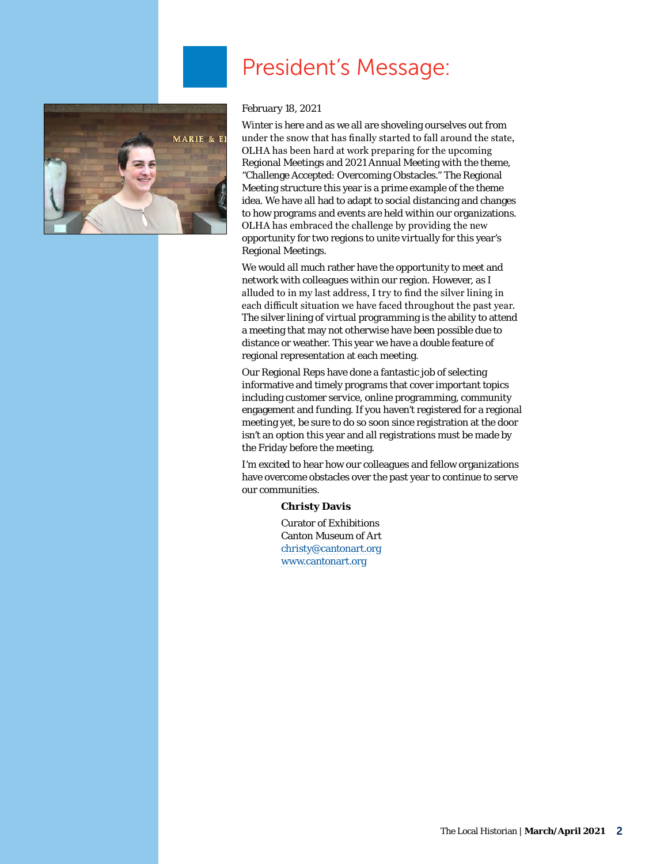<span id="page-1-0"></span>

# President's Message:

#### February 18, 2021

Winter is here and as we all are shoveling ourselves out from under the snow that has finally started to fall around the state, OLHA has been hard at work preparing for the upcoming Regional Meetings and 2021 Annual Meeting with the theme, "Challenge Accepted: Overcoming Obstacles." The Regional Meeting structure this year is a prime example of the theme idea. We have all had to adapt to social distancing and changes to how programs and events are held within our organizations. OLHA has embraced the challenge by providing the new opportunity for two regions to unite virtually for this year's Regional Meetings.

We would all much rather have the opportunity to meet and network with colleagues within our region. However, as I alluded to in my last address, I try to find the silver lining in each difficult situation we have faced throughout the past year. The silver lining of virtual programming is the ability to attend a meeting that may not otherwise have been possible due to distance or weather. This year we have a double feature of regional representation at each meeting.

Our Regional Reps have done a fantastic job of selecting informative and timely programs that cover important topics including customer service, online programming, community engagement and funding. If you haven't registered for a regional meeting yet, be sure to do so soon since registration at the door isn't an option this year and all registrations must be made by the Friday before the meeting.

I'm excited to hear how our colleagues and fellow organizations have overcome obstacles over the past year to continue to serve our communities.

#### **Christy Davis**

Curator of Exhibitions Canton Museum of Art [christy@cantonart.org](mailto:christy%40cantonart.org?subject=) [www.cantonart.org](http://www.cantonart.org)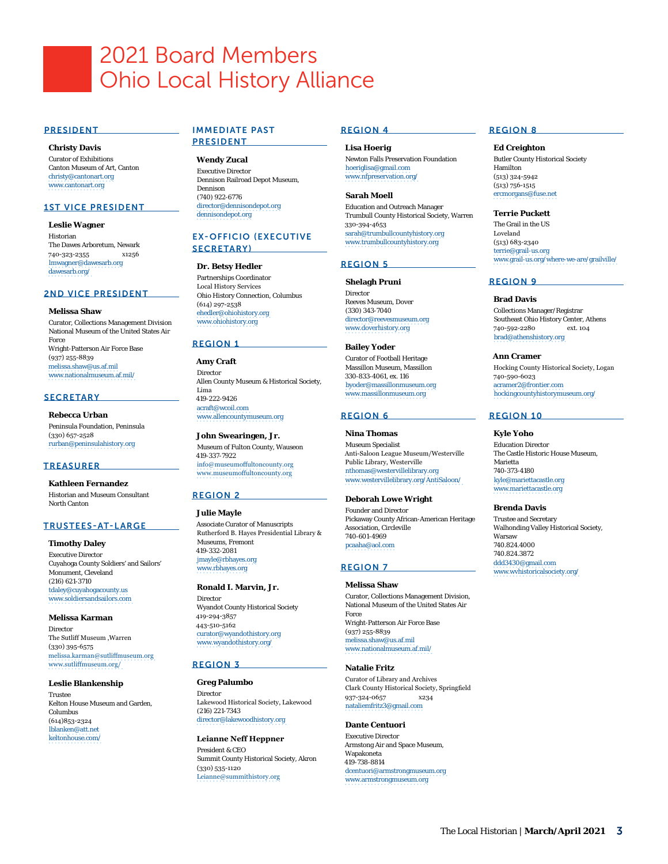# 2021 Board Members Ohio Local History Alliance

#### PRESIDENT

**Christy Davis** Curator of Exhibitions Canton Museum of Art, Canton [christy@cantonart.org](mailto:christy@cantonart.org) [www.cantonart.org](http://www.cantonart.org)

#### 1ST VICE PRESIDENT

**Leslie Wagner** Historian The Dawes Arboretum, Newark 740-323-2355 x1256 [lmwagner@dawesarb.org](mailto:lmwagner@dawesarb.org) [dawesarb.org/](http://dawesarb.org/)

#### 2ND VICE PRESIDENT

#### **Melissa Shaw**

Curator, Collections Management Division National Museum of the United States Air Force Wright-Patterson Air Force Base (937) 255-8839 [melissa.shaw@us.af.mil](mailto:melissa.shaw@us.af.mil) [www.nationalmuseum.af.mil/](http://www.nationalmuseum.af.mil/)

#### **SECRETARY**

**Rebecca Urban** Peninsula Foundation, Peninsula (330) 657-2528 [rurban@peninsulahistory.org](mailto:rurban@peninsulahistory.org)

#### **TREASURER**

**Kathleen Fernandez** Historian and Museum Consultant North Canton

#### TRUSTEES-AT-LARGE

**Timothy Daley** Executive Director Cuyahoga County Soldiers' and Sailors' Monument, Cleveland (216) 621-3710 [tdaley@cuyahogacounty.us](mailto:tdaley@cuyahogacounty.us) [www.soldiersandsailors.com](http://www.soldiersandsailors.com)

**Melissa Karman** Director The Sutliff Museum ,Warren (330) 395-6575 [melissa.karman@sutliffmuseum.org](mailto:melissa.karman@sutliffmuseum.org) [www.sutliffmuseum.org/](http://www.sutliffmuseum.org/)

**Leslie Blankenship** Trustee Kelton House Museum and Garden, Columbus (614)853-2324 [lblanken@att.net](mailto:lblanken@att.net) keltonhouse.com/

#### IMMEDIATE PAST PRESIDENT

**Wendy Zucal** Executive Director Dennison Railroad Depot Museum, Dennison (740) 922-6776 [director@dennisondepot.org](mailto:director@dennisondepot.org) [dennisondepot.org](http://dennisondepot.org)

#### EX-OFFICIO (EXECUTIVE SECRETARY)

#### **Dr. Betsy Hedler**

Partnerships Coordinator Local History Services Ohio History Connection, Columbus (614) 297-2538 [ehedler@ohiohistory.org](mailto:ehedler@ohiohistory.org) [www.ohiohistory.org](http://www.ohiohistory.org)

#### REGION 1

**Amy Craft** Director Allen County Museum & Historical Society, Lima 419-222-9426 [acraft@wcoil.com](mailto:acraft@wcoil.com) [www.allencountymuseum.org](http://www.allencountymuseum.org)

#### **John Swearingen, Jr.** Museum of Fulton County, Wauseon 419-337-7922 [info@museumoffultoncounty.org](mailto:info@museumoffultoncounty.org) [www.museumoffultoncounty.org](http://www.museumoffultoncounty.org)

#### REGION 2

**Julie Mayle**

Associate Curator of Manuscripts Rutherford B. Hayes Presidential Library & Museums, Fremont 419-332-2081 [jmayle@rbhayes.org](mailto:jmayle@rbhayes.org) [www.rbhayes.org](http://www.rbhayes.org)

#### **Ronald I. Marvin, Jr.**

Director Wyandot County Historical Society 419-294-3857 443-510-5162 [curator@wyandothistory.org](mailto:curator@wyandothistory.org) [www.wyandothistory.org/](https://www.wyandothistory.org/)

#### REGION 3

**Greg Palumbo** Director Lakewood Historical Society, Lakewood (216) 221-7343 [director@lakewoodhistory.org](mailto:director@lakewoodhistory.org)

**Leianne Neff Heppner** President & CEO Summit County Historical Society, Akron (330) 535-1120 [Leianne@summithistory.org](mailto:Leianne@summithistory.org)

#### REGION 4

**Lisa Hoerig** Newton Falls Preservation Foundation [hoeriglisa@gmail.com](mailto:hoeriglisa@gmail.com) [www.nfpreservation.org/](https://www.nfpreservation.org/)

**Sarah Moell** Education and Outreach Manager Trumbull County Historical Society, Warren 330-394-4653 [sarah@trumbullcountyhistory.org](mailto:sarah@trumbullcountyhistory.org) [www.trumbullcountyhistory.org](http://www.trumbullcountyhistory.org)

#### REGION 5

**Shelagh Pruni**

Director Reeves Museum, Dover (330) 343-7040 [director@reevesmuseum.org](mailto:director@reevesmuseum.org) [www.doverhistory.org](http://www.doverhistory.org)

**Bailey Yoder** Curator of Football Heritage Massillon Museum, Massillon 330-833-4061, ex. 116 [byoder@massillonmuseum.org](mailto:byoder@massillonmuseum.org) [www.massillonmuseum.org](http://www.massillonmuseum.org)

#### REGION 6

**Nina Thomas**

Museum Specialist Anti-Saloon League Museum/Westerville Public Library, Westerville [nthomas@westervillelibrary.org](mailto:nthomas@westervillelibrary.org) [www.westervillelibrary.org/AntiSaloon/](http://www.westervillelibrary.org/AntiSaloon/)

**Deborah Lowe Wright**

Founder and Director Pickaway County African-American Heritage Association, Circleville 740-601-4969 [pcaaha@aol.com](mailto:pcaaha@aol.com)

#### REGION 7

**Melissa Shaw** Curator, Collections Management Division, National Museum of the United States Air Force Wright-Patterson Air Force Base (937) 255-8839 [melissa.shaw@us.af.mil](mailto:melissa.shaw@us.af.mil) [www.nationalmuseum.af.mil/](http://www.nationalmuseum.af.mil/)

#### **Natalie Fritz**

Curator of Library and Archives Clark County Historical Society, Springfield 937-324-0657 x234 [nataliemfritz3@gmail.com](mailto:nataliemfritz3@gmail.com)

#### **Dante Centuori**

Executive Director Armstong Air and Space Museum, Wapakoneta 419-738-8814 [dcentuori@armstrongmuseum.org](mailto:dcentuori@armstrongmuseum.org) [www.armstrongmuseum.org](http://www.armstrongmuseum.org)

#### REGION 8

#### **Ed Creighton**

Butler County Historical Society Hamilton (513) 324-5942 (513) 756-1515 [ercmorgans@fuse.net](mailto:ercmorgans@fuse.net)

#### **Terrie Puckett**

The Grail in the US Loveland (513) 683-2340 [terrie@grail-us.org](mailto:terrie@grail-us.org) [www.grail-us.org/where-we-are/grailville/](http://www.grail-us.org/where-we-are/grailville/)

#### REGION 9

#### **Brad Davis**

Collections Manager/Registrar Southeast Ohio History Center, Athens<br>740-592-2280 ext. 104 740-592-2280 [brad@athenshistory.org](mailto:brad@athenshistory.org)

#### **Ann Cramer**

Hocking County Historical Society, Logan 740-590-6023 [acramer2@frontier.com](mailto:acramer2@frontier.com) [hockingcountyhistorymuseum.org/](https://hockingcountyhistorymuseum.org/)

#### REGION 10

#### **Kyle Yoho**

Education Director The Castle Historic House Museum, Marietta 740-373-4180 [kyle@mariettacastle.org](mailto:kyle@mariettacastle.org) [www.mariettacastle.org](http://www.mariettacastle.org)

#### **Brenda Davis**

Trustee and Secretary Walhonding Valley Historical Society, Warsaw 740.824.4000 740.824.3872 [ddd3430@gmail.com](mailto:ddd3430@gmail.com) [www.wvhistoricalsociety.org/](http://www.wvhistoricalsociety.org/)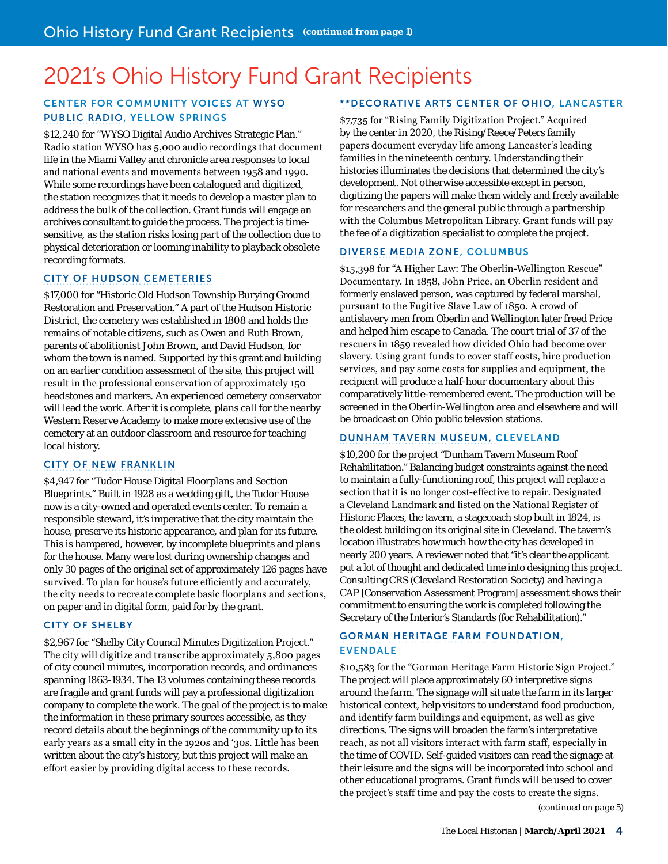# 2021's Ohio History Fund Grant Recipients

#### CENTER FOR COMMUNITY VOICES AT [WYSO](https://www.wyso.org/)  [PUBLIC RADIO](https://www.wyso.org/), YELLOW SPRINGS

\$12,240 for "WYSO Digital Audio Archives Strategic Plan." Radio station WYSO has 5,000 audio recordings that document life in the Miami Valley and chronicle area responses to local and national events and movements between 1958 and 1990. While some recordings have been catalogued and digitized, the station recognizes that it needs to develop a master plan to address the bulk of the collection. Grant funds will engage an archives consultant to guide the process. The project is timesensitive, as the station risks losing part of the collection due to physical deterioration or looming inability to playback obsolete recording formats.

#### [CITY OF HUDSON](https://www.hudson.oh.us/120/Cemeteries) [CEMETERIES](https://www.hudson.oh.us/120/Cemeteries)

\$17,000 for "Historic Old Hudson Township Burying Ground Restoration and Preservation." A part of the Hudson Historic District, the cemetery was established in 1808 and holds the remains of notable citizens, such as Owen and Ruth Brown, parents of abolitionist John Brown, and David Hudson, for whom the town is named. Supported by this grant and building on an earlier condition assessment of the site, this project will result in the professional conservation of approximately 150 headstones and markers. An experienced cemetery conservator will lead the work. After it is complete, plans call for the nearby Western Reserve Academy to make more extensive use of the cemetery at an outdoor classroom and resource for teaching local history.

#### [CITY OF NEW FRANKLIN](http://newfranklin.org/index.php/9-tudor-house)

\$4,947 for "Tudor House Digital Floorplans and Section Blueprints." Built in 1928 as a wedding gift, the Tudor House now is a city-owned and operated events center. To remain a responsible steward, it's imperative that the city maintain the house, preserve its historic appearance, and plan for its future. This is hampered, however, by incomplete blueprints and plans for the house. Many were lost during ownership changes and only 30 pages of the original set of approximately 126 pages have survived. To plan for house's future efficiently and accurately, the city needs to recreate complete basic floorplans and sections, on paper and in digital form, paid for by the grant.

#### [CITY OF SHELBY](https://shelbycity.oh.gov/)

\$2,967 for "Shelby City Council Minutes Digitization Project." The city will digitize and transcribe approximately 5,800 pages of city council minutes, incorporation records, and ordinances spanning 1863-1934. The 13 volumes containing these records are fragile and grant funds will pay a professional digitization company to complete the work. The goal of the project is to make the information in these primary sources accessible, as they record details about the beginnings of the community up to its early years as a small city in the 1920s and '30s. Little has been written about the city's history, but this project will make an effort easier by providing digital access to these records.

#### \*\*[DECORATIVE ARTS CENTER OF OHIO](http://www.decartsohio.org/), LANCASTER

\$7,735 for "Rising Family Digitization Project." Acquired by the center in 2020, the Rising/Reece/Peters family papers document everyday life among Lancaster's leading families in the nineteenth century. Understanding their histories illuminates the decisions that determined the city's development. Not otherwise accessible except in person, digitizing the papers will make them widely and freely available for researchers and the general public through a partnership with the Columbus Metropolitan Library. Grant funds will pay the fee of a digitization specialist to complete the project.

#### [DIVERSE MEDIA ZONE,](https://www.diversemediazone.org/) COLUMBUS

\$15,398 for "A Higher Law: The Oberlin-Wellington Rescue" Documentary. In 1858, John Price, an Oberlin resident and formerly enslaved person, was captured by federal marshal, pursuant to the Fugitive Slave Law of 1850. A crowd of antislavery men from Oberlin and Wellington later freed Price and helped him escape to Canada. The court trial of 37 of the rescuers in 1859 revealed how divided Ohio had become over slavery. Using grant funds to cover staff costs, hire production services, and pay some costs for supplies and equipment, the recipient will produce a half-hour documentary about this comparatively little-remembered event. The production will be screened in the Oberlin-Wellington area and elsewhere and will be broadcast on Ohio public televsion stations.

#### [DUNHAM TAVERN MUSEUM,](http://dunhamtavern.org/) CLEVELAND

\$10,200 for the project "Dunham Tavern Museum Roof Rehabilitation." Balancing budget constraints against the need to maintain a fully-functioning roof, this project will replace a section that it is no longer cost-effective to repair. Designated a Cleveland Landmark and listed on the National Register of Historic Places, the tavern, a stagecoach stop built in 1824, is the oldest building on its original site in Cleveland. The tavern's location illustrates how much how the city has developed in nearly 200 years. A reviewer noted that "it's clear the applicant put a lot of thought and dedicated time into designing this project. Consulting CRS (Cleveland Restoration Society) and having a CAP [Conservation Assessment Program] assessment shows their commitment to ensuring the work is completed following the Secretary of the Interior's Standards (for Rehabilitation)."

#### [GORMAN HERITAGE FARM FOUNDATION](https://gormanfarm.org/), EVENDALE

\$10,583 for the "Gorman Heritage Farm Historic Sign Project." The project will place approximately 60 interpretive signs around the farm. The signage will situate the farm in its larger historical context, help visitors to understand food production, and identify farm buildings and equipment, as well as give directions. The signs will broaden the farm's interpretative reach, as not all visitors interact with farm staff, especially in the time of COVID. Self-guided visitors can read the signage at their leisure and the signs will be incorporated into school and other educational programs. Grant funds will be used to cover the project's staff time and pay the costs to create the signs.

*(continued on page 5)*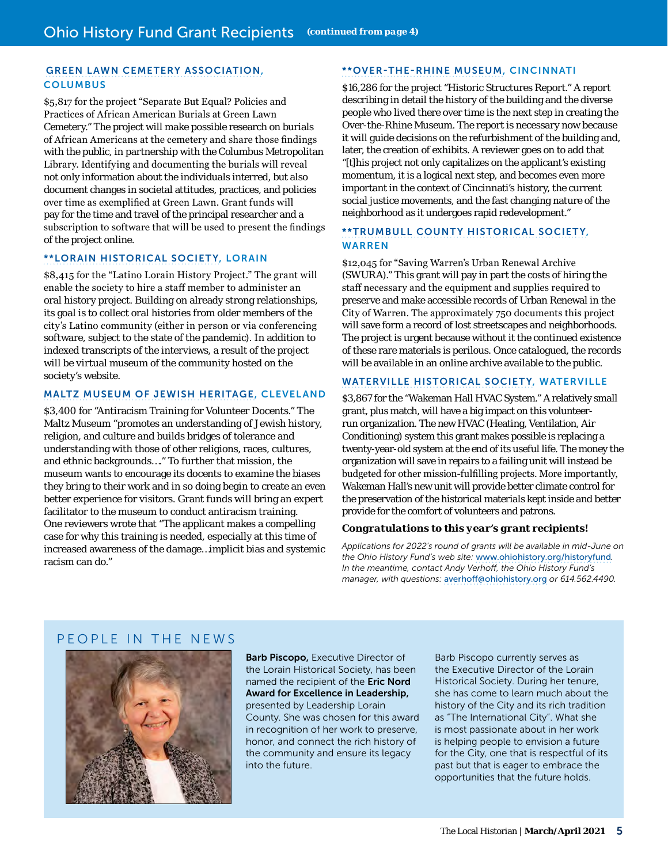#### [GREEN LAWN CEMETERY ASSOCIATION](https://www.greenlawncemetery.org/), **COLUMBUS**

\$5,817 for the project "Separate But Equal? Policies and Practices of African American Burials at Green Lawn Cemetery." The project will make possible research on burials of African Americans at the cemetery and share those findings with the public, in partnership with the Columbus Metropolitan Library. Identifying and documenting the burials will reveal not only information about the individuals interred, but also document changes in societal attitudes, practices, and policies over time as exemplified at Green Lawn. Grant funds will pay for the time and travel of the principal researcher and a subscription to software that will be used to present the findings of the project online.

#### \*\*[LORAIN HISTORICAL SOCIETY,](https://www.lorainhistory.org/) LORAIN

\$8,415 for the "Latino Lorain History Project." The grant will enable the society to hire a staff member to administer an oral history project. Building on already strong relationships, its goal is to collect oral histories from older members of the city's Latino community (either in person or via conferencing software, subject to the state of the pandemic). In addition to indexed transcripts of the interviews, a result of the project will be virtual museum of the community hosted on the society's website.

#### [MALTZ MUSEUM OF JEWISH HERITAGE](https://www.maltzmuseum.org/), CLEVELAND

\$3,400 for "Antiracism Training for Volunteer Docents." The Maltz Museum "promotes an understanding of Jewish history, religion, and culture and builds bridges of tolerance and understanding with those of other religions, races, cultures, and ethnic backgrounds…." To further that mission, the museum wants to encourage its docents to examine the biases they bring to their work and in so doing begin to create an even better experience for visitors. Grant funds will bring an expert facilitator to the museum to conduct antiracism training. One reviewers wrote that "The applicant makes a compelling case for why this training is needed, especially at this time of increased awareness of the damage…implicit bias and systemic racism can do."

#### \*\*[OVER-THE-RHINE MUSEUM,](http://www.otrmuseum.org/) CINCINNATI

\$16,286 for the project "Historic Structures Report." A report describing in detail the history of the building and the diverse people who lived there over time is the next step in creating the Over-the-Rhine Museum. The report is necessary now because it will guide decisions on the refurbishment of the building and, later, the creation of exhibits. A reviewer goes on to add that "[t]his project not only capitalizes on the applicant's existing momentum, it is a logical next step, and becomes even more important in the context of Cincinnati's history, the current social justice movements, and the fast changing nature of the neighborhood as it undergoes rapid redevelopment."

#### \*\*[TRUMBULL COUNTY HISTORICAL SOCIETY](https://trumbullcountyhistory.com/), WARREN

\$12,045 for "Saving Warren's Urban Renewal Archive (SWURA)." This grant will pay in part the costs of hiring the staff necessary and the equipment and supplies required to preserve and make accessible records of Urban Renewal in the City of Warren. The approximately 750 documents this project will save form a record of lost streetscapes and neighborhoods. The project is urgent because without it the continued existence of these rare materials is perilous. Once catalogued, the records will be available in an online archive available to the public.

#### [WATERVILLE HISTORICAL SOCIETY](http://www.watervillehistory.org/), WATERVILLE

\$3,867 for the "Wakeman Hall HVAC System." A relatively small grant, plus match, will have a big impact on this volunteerrun organization. The new HVAC (Heating, Ventilation, Air Conditioning) system this grant makes possible is replacing a twenty-year-old system at the end of its useful life. The money the organization will save in repairs to a failing unit will instead be budgeted for other mission-fulfilling projects. More importantly, Wakeman Hall's new unit will provide better climate control for the preservation of the historical materials kept inside and better provide for the comfort of volunteers and patrons.

#### *Congratulations to this year's grant recipients!*

*Applications for 2022's round of grants will be available in mid-June on the Ohio History Fund's web site:* [www.ohiohistory.org/historyfund](http://www.ohiohistory.org/historyfund)*. In the meantime, contact Andy Verhoff, the Ohio History Fund's manager, with questions:* averhoff@ohiohistory.org *or 614.562.4490.*

#### PEOPLE IN THE NEWS



**Barb Piscopo, Executive Director of** the Lorain Historical Society, has been named the recipient of the Eric Nord Award for Excellence in Leadership, presented by Leadership Lorain County. She was chosen for this award in recognition of her work to preserve, honor, and connect the rich history of the community and ensure its legacy into the future.

Barb Piscopo currently serves as the Executive Director of the Lorain Historical Society. During her tenure, she has come to learn much about the history of the City and its rich tradition as "The International City". What she is most passionate about in her work is helping people to envision a future for the City, one that is respectful of its past but that is eager to embrace the opportunities that the future holds.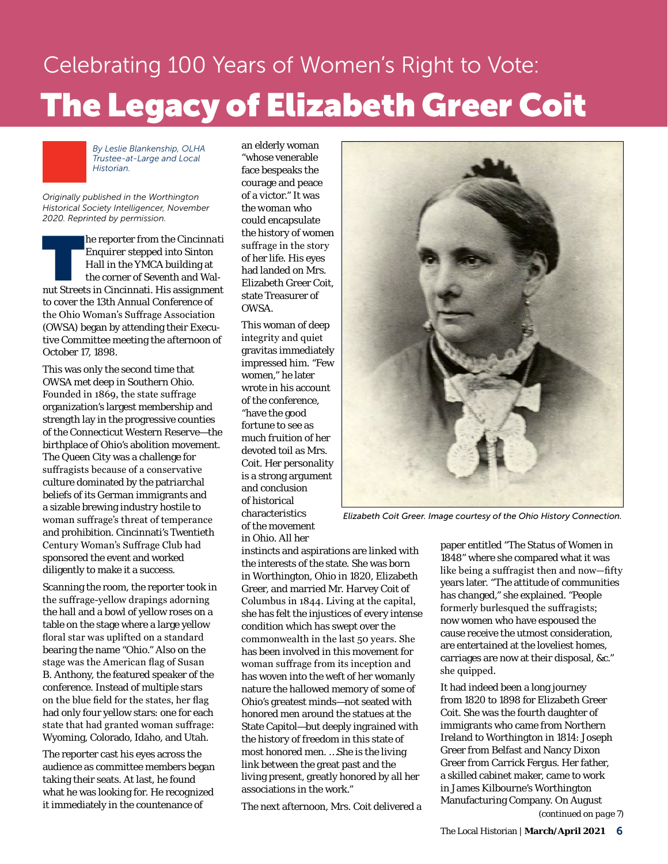# <span id="page-5-0"></span>Celebrating 100 Years of Women's Right to Vote: The Legacy of Elizabeth Greer Coit



*By Leslie Blankenship, OLHA Trustee-at-Large and Local Historian.* 

*Originally published in the Worthington Historical Society Intelligencer, November 2020. Reprinted by permission.*

**Example 1** Ferry From the *Cincinnati* Enquirer stepped into Sinton Hall in the YMCA building at the corner of Seventh and Walnut Streets in Cincinnati. His assignment *Enquirer* stepped into Sinton Hall in the YMCA building at the corner of Seventh and Walto cover the 13th Annual Conference of the Ohio Woman's Suffrage Association (OWSA) began by attending their Executive Committee meeting the afternoon of October 17, 1898.

This was only the second time that OWSA met deep in Southern Ohio. Founded in 1869, the state suffrage organization's largest membership and strength lay in the progressive counties of the Connecticut Western Reserve—the birthplace of Ohio's abolition movement. The Queen City was a challenge for suffragists because of a conservative culture dominated by the patriarchal beliefs of its German immigrants and a sizable brewing industry hostile to woman suffrage's threat of temperance and prohibition. Cincinnati's Twentieth Century Woman's Suffrage Club had sponsored the event and worked diligently to make it a success.

Scanning the room, the reporter took in the suffrage-yellow drapings adorning the hall and a bowl of yellow roses on a table on the stage where a large yellow floral star was uplifted on a standard bearing the name "Ohio." Also on the stage was the American flag of Susan B. Anthony, the featured speaker of the conference. Instead of multiple stars on the blue field for the states, her flag had only four yellow stars: one for each state that had granted woman suffrage: Wyoming, Colorado, Idaho, and Utah.

The reporter cast his eyes across the audience as committee members began taking their seats. At last, he found what he was looking for. He recognized it immediately in the countenance of

an elderly woman "whose venerable face bespeaks the courage and peace of a victor." It was *the woman* who could encapsulate the history of women suffrage in the story of her life. His eyes had landed on Mrs. Elizabeth Greer Coit, state Treasurer of OWSA.

This woman of deep integrity and quiet gravitas immediately impressed him. "Few women," he later wrote in his account of the conference, "have the good fortune to see as much fruition of her devoted toil as Mrs. Coit. Her personality is a strong argument and conclusion of historical characteristics of the movement in Ohio. All her



*Elizabeth Coit Greer. Image courtesy of the Ohio History Connection.*

instincts and aspirations are linked with the interests of the state. She was born in Worthington, Ohio in 1820, Elizabeth Greer, and married Mr. Harvey Coit of Columbus in 1844. Living at the capital, she has felt the injustices of every intense condition which has swept over the commonwealth in the last 50 years. She has been involved in this movement for woman suffrage from its inception and has woven into the weft of her womanly nature the hallowed memory of some of Ohio's greatest minds—not seated with honored men around the statues at the State Capitol—but deeply ingrained with the history of freedom in this state of most honored men. …She is the living link between the great past and the living present, greatly honored by all her associations in the work."

The next afternoon, Mrs. Coit delivered a

paper entitled "The Status of Women in 1848" where she compared what it was like being a suffragist then and now—fifty years later. "The attitude of communities has changed," she explained. "People formerly burlesqued the suffragists; now women who have espoused the cause receive the utmost consideration, are entertained at the loveliest homes, carriages are now at their disposal, &c." she quipped.

It had indeed been a long journey from 1820 to 1898 for Elizabeth Greer Coit. She was the fourth daughter of immigrants who came from Northern Ireland to Worthington in 1814: Joseph Greer from Belfast and Nancy Dixon Greer from Carrick Fergus. Her father, a skilled cabinet maker, came to work in James Kilbourne's Worthington Manufacturing Company. On August *(continued on page 7)*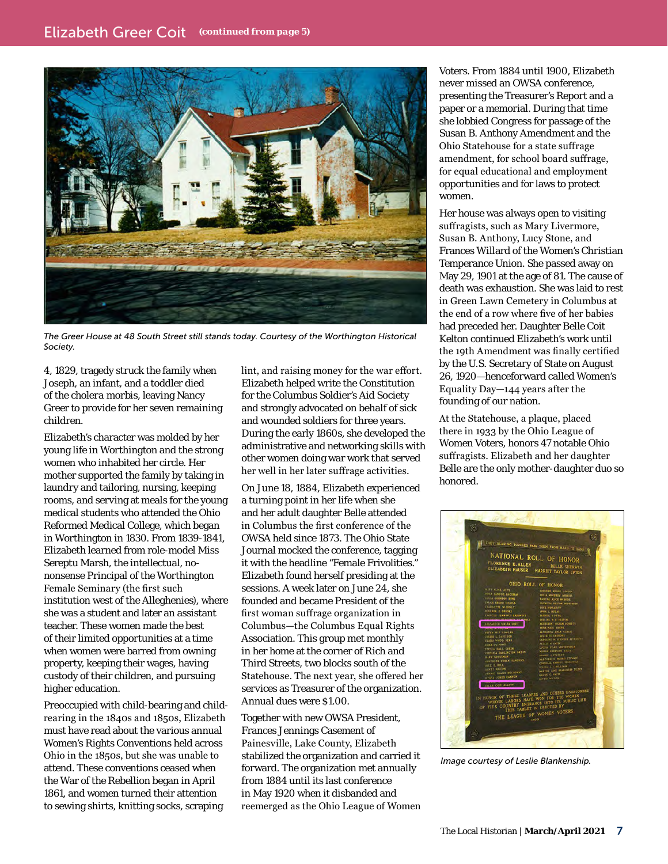

*The Greer House at 48 South Street still stands today. Courtesy of the Worthington Historical Society.*

4, 1829, tragedy struck the family when Joseph, an infant, and a toddler died of the *cholera morbis*, leaving Nancy Greer to provide for her seven remaining children.

Elizabeth's character was molded by her young life in Worthington and the strong women who inhabited her circle. Her mother supported the family by taking in laundry and tailoring, nursing, keeping rooms, and serving at meals for the young medical students who attended the Ohio Reformed Medical College, which began in Worthington in 1830. From 1839-1841, Elizabeth learned from role-model Miss Sereptu Marsh, the intellectual, nononsense Principal of the Worthington Female Seminary (the first such institution west of the Alleghenies), where she was a student and later an assistant teacher. These women made the best of their limited opportunities at a time when women were barred from owning property, keeping their wages, having custody of their children, and pursuing higher education.

Preoccupied with child-bearing and childrearing in the 1840s and 1850s, Elizabeth must have read about the various annual Women's Rights Conventions held across Ohio in the 1850s, but she was unable to attend. These conventions ceased when the War of the Rebellion began in April 1861, and women turned their attention to sewing shirts, knitting socks, scraping

lint, and raising money for the war effort. Elizabeth helped write the Constitution for the Columbus Soldier's Aid Society and strongly advocated on behalf of sick and wounded soldiers for three years. During the early 1860s, she developed the administrative and networking skills with other women doing war work that served her well in her later suffrage activities.

On June 18, 1884, Elizabeth experienced a turning point in her life when she and her adult daughter Belle attended in Columbus the first conference of the OWSA held since 1873. The Ohio State Journal mocked the conference, tagging it with the headline "Female Frivolities." Elizabeth found herself presiding at the sessions. A week later on June 24, she founded and became President of the first woman suffrage organization in Columbus—the Columbus Equal Rights Association. This group met monthly in her home at the corner of Rich and Third Streets, two blocks south of the Statehouse. The next year, she offered her services as Treasurer of the organization. Annual dues were \$1.00.

Together with new OWSA President, Frances Jennings Casement of Painesville, Lake County, Elizabeth stabilized the organization and carried it forward. The organization met annually from 1884 until its last conference in May 1920 when it disbanded and reemerged as the Ohio League of Women Voters. From 1884 until 1900, Elizabeth never missed an OWSA conference, presenting the Treasurer's Report and a paper or a memorial. During that time she lobbied Congress for passage of the Susan B. Anthony Amendment and the Ohio Statehouse for a state suffrage amendment, for school board suffrage, for equal educational and employment opportunities and for laws to protect women.

Her house was always open to visiting suffragists, such as Mary Livermore, Susan B. Anthony, Lucy Stone, and Frances Willard of the Women's Christian Temperance Union. She passed away on May 29, 1901 at the age of 81. The cause of death was exhaustion. She was laid to rest in Green Lawn Cemetery in Columbus at the end of a row where five of her babies had preceded her. Daughter Belle Coit Kelton continued Elizabeth's work until the 19th Amendment was finally certified by the U.S. Secretary of State on August 26, 1920—henceforward called Women's Equality Day—144 years after the founding of our nation.

At the Statehouse, a plaque, placed there in 1933 by the Ohio League of Women Voters, honors 47 notable Ohio suffragists. Elizabeth and her daughter Belle are the only mother-daughter duo so honored.



*Image courtesy of Leslie Blankenship.*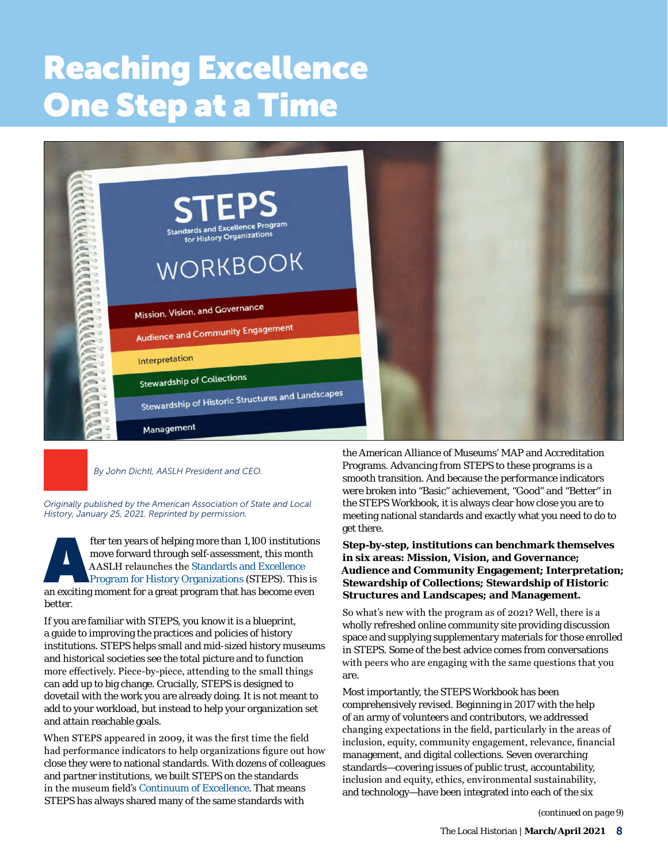# <span id="page-7-0"></span>Reaching Excellence One Step at a Time



*By John Dichtl, AASLH President and CEO.* 

*Originally published by the American Association of State and Local History, January 25, 2021. Reprinted by permission.*

fter ten years of helping more than 1,100 institutions<br>
move forward through self-assessment, this month<br>
AASLH relaunches the Standards and Excellence<br>
Program for History Organizations (STEPS). This is<br>
an exciting momen move forward through self-assessment, this month AASLH relaunches the [Standards and Excellence](https://aaslh.org/programs/steps/)  [Program for History Organizations](https://aaslh.org/programs/steps/) (STEPS). This is better.

If you are familiar with STEPS, you know it is a blueprint, a guide to improving the practices and policies of history institutions. STEPS helps small and mid-sized history museums and historical societies see the total picture and to function more effectively. Piece-by-piece, attending to the small things can add up to big change. Crucially, STEPS is designed to dovetail with the work you are already doing. It is not meant to add to your workload, but instead to help your organization set and attain reachable goals.

When STEPS appeared in 2009, it was the first time the field had performance indicators to help organizations figure out how close they were to national standards. With dozens of colleagues and partner institutions, we built STEPS on the standards in the museum field's [Continuum of Excellence](https://www.aam-us.org/programs/accreditation-excellence-programs/). That means STEPS has always shared many of the same standards with

the American Alliance of Museums' MAP and Accreditation Programs. Advancing from STEPS to these programs is a smooth transition. And because the performance indicators were broken into "Basic" achievement, "Good" and "Better" in the STEPS Workbook, it is always clear how close you are to meeting national standards and exactly what you need to do to get there.

#### **Step-by-step, institutions can benchmark themselves in six areas: Mission, Vision, and Governance; Audience and Community Engagement; Interpretation; Stewardship of Collections; Stewardship of Historic Structures and Landscapes; and Management.**

So what's new with the program as of 2021? Well, there is a wholly refreshed online community site providing discussion space and supplying supplementary materials for those enrolled in STEPS. Some of the best advice comes from conversations with peers who are engaging with the same questions that you are.

Most importantly, the STEPS Workbook has been comprehensively revised. Beginning in 2017 with the help of an army of volunteers and contributors, we addressed changing expectations in the field, particularly in the areas of inclusion, equity, community engagement, relevance, financial management, and digital collections. Seven overarching standards—covering issues of public trust, accountability, inclusion and equity, ethics, environmental sustainability, and technology—have been integrated into each of the six

*(continued on page 9)*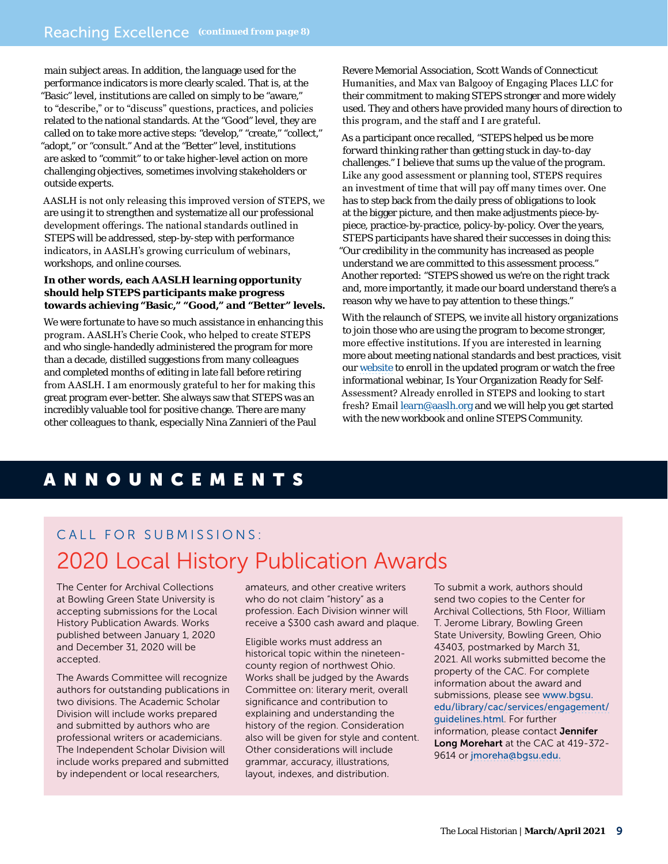<span id="page-8-0"></span>main subject areas. In addition, the language used for the performance indicators is more clearly scaled. That is, at the "Basic" level, institutions are called on simply to be "aware," to "describe," or to "discuss" questions, practices, and policies related to the national standards. At the "Good" level, they are called on to take more active steps: "develop," "create," "collect," "adopt," or "consult." And at the "Better" level, institutions are asked to "commit" to or take higher-level action on more challenging objectives, sometimes involving stakeholders or outside experts.

AASLH is not only releasing this improved version of STEPS, we are using it to strengthen and systematize all our professional development offerings. The national standards outlined in STEPS will be addressed, step-by-step with performance indicators, in AASLH's growing curriculum of webinars, workshops, and online courses.

#### **In other words, each AASLH learning opportunity should help STEPS participants make progress towards achieving "Basic," "Good," and "Better" levels.**

We were fortunate to have so much assistance in enhancing this program. AASLH's Cherie Cook, who helped to create STEPS and who single-handedly administered the program for more than a decade, distilled suggestions from many colleagues and completed months of editing in late fall before retiring from AASLH. I am enormously grateful to her for making this great program ever-better. She always saw that STEPS was an incredibly valuable tool for positive change. There are many other colleagues to thank, especially Nina Zannieri of the Paul

Revere Memorial Association, Scott Wands of Connecticut Humanities, and Max van Balgooy of Engaging Places LLC for their commitment to making STEPS stronger and more widely used. They and others have provided many hours of direction to this program, and the staff and I are grateful.

As a participant once recalled, "STEPS helped us be more forward thinking rather than getting stuck in day-to-day challenges." I believe that sums up the value of the program. Like any good assessment or planning tool, STEPS requires an investment of time that will pay off many times over. One has to step back from the daily press of obligations to look at the bigger picture, and then make adjustments piece-bypiece, practice-by-practice, policy-by-policy. Over the years, STEPS participants have shared their successes in doing this: "Our credibility in the community has increased as people understand we are committed to this assessment process." Another reported: "STEPS showed us we're on the right track and, more importantly, it made our board understand there's a reason why we have to pay attention to these things."

With the relaunch of STEPS, we invite all history organizations to join those who are using the program to become stronger, more effective institutions. If you are interested in learning more about meeting national standards and best practices, visit our [website](https://aaslh.org/programs/steps/) to enroll in the updated program or watch the free informational webinar, Is Your Organization Ready for Self-Assessment? Already enrolled in STEPS and looking to start fresh? Email [learn@aaslh.org](mailto:learn@aaslh.org) and we will help you get started with the new workbook and online STEPS Community.

### ANNOUNCEMENTS

## CALL FOR SUBMISSIONS: 2020 Local History Publication Awards

The Center for Archival Collections at Bowling Green State University is accepting submissions for the Local History Publication Awards. Works published between January 1, 2020 and December 31, 2020 will be accepted.

The Awards Committee will recognize authors for outstanding publications in two divisions. The Academic Scholar Division will include works prepared and submitted by authors who are professional writers or academicians. The Independent Scholar Division will include works prepared and submitted by independent or local researchers,

amateurs, and other creative writers who do not claim "history" as a profession. Each Division winner will receive a \$300 cash award and plaque.

Eligible works must address an historical topic within the nineteencounty region of northwest Ohio. Works shall be judged by the Awards Committee on: literary merit, overall significance and contribution to explaining and understanding the history of the region. Consideration also will be given for style and content. Other considerations will include grammar, accuracy, illustrations, layout, indexes, and distribution.

To submit a work, authors should send two copies to the Center for Archival Collections, 5th Floor, William T. Jerome Library, Bowling Green State University, Bowling Green, Ohio 43403, postmarked by March 31, 2021. All works submitted become the property of the CAC. For complete information about the award and submissions, please see [www.bgsu.](https://www.bgsu.edu/library/cac/services/engagement/guidelines.html) [edu/library/cac/services/engagement/](https://www.bgsu.edu/library/cac/services/engagement/guidelines.html) [guidelines.html](https://www.bgsu.edu/library/cac/services/engagement/guidelines.html). For further information, please contact Jennifer Long Morehart at the CAC at 419-372- 9614 or [jmoreha@bgsu.edu.](mailto:jmoreha%40bgsu.edu?subject=)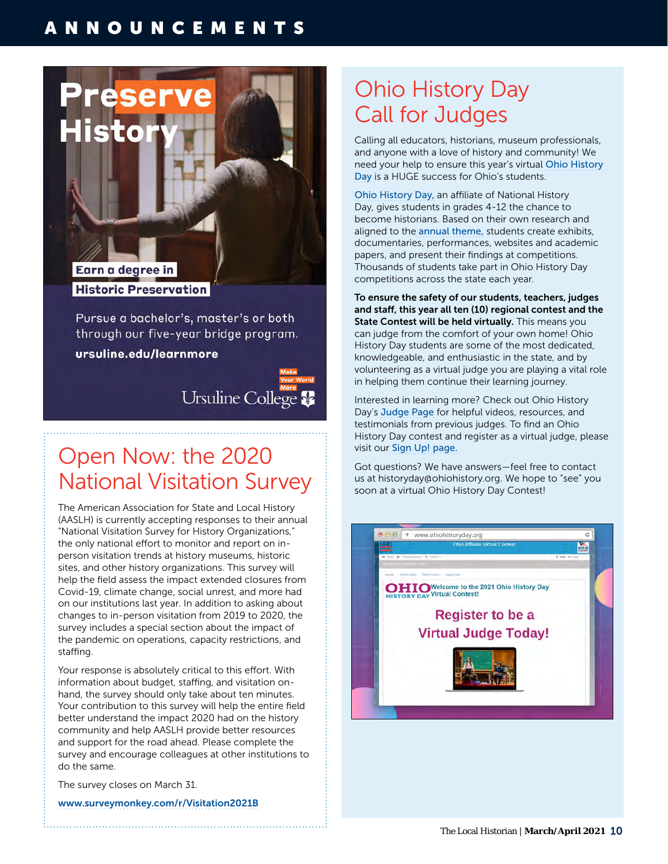### ANNOUNCEMENTS



**Historic Preservation** 

Pursue a bachelor's, master's or both through our five-year bridge program.

ursuline.edu/learnmore



# Open Now: the 2020 National Visitation Survey

The American Association for State and Local History (AASLH) is currently accepting responses to their annual "National Visitation Survey for History Organizations," the only national effort to monitor and report on inperson visitation trends at history museums, historic sites, and other history organizations. This survey will help the field assess the impact extended closures from Covid-19, climate change, social unrest, and more had on our institutions last year. In addition to asking about changes to in-person visitation from 2019 to 2020, the survey includes a special section about the impact of the pandemic on operations, capacity restrictions, and staffing.

Your response is absolutely critical to this effort. With information about budget, staffing, and visitation onhand, the survey should only take about ten minutes. Your contribution to this survey will help the entire field better understand the impact 2020 had on the history community and help AASLH provide better resources and support for the road ahead. Please complete the survey and encourage colleagues at other institutions to do the same.

The survey closes on March 31.

[www.surveymonkey.com/r/Visitation2021B](https://www.surveymonkey.com/r/Visitation2021B)

# Ohio History Day Call for Judges

Calling all educators, historians, museum professionals, and anyone with a love of history and community! We need your help to ensure this year's virtual [Ohio History](https://www.ohiohistory.org/learn/education/in-your-classroom/ohio-history-day)  [Day](https://www.ohiohistory.org/learn/education/in-your-classroom/ohio-history-day) is a HUGE success for Ohio's students.

[Ohio History Day](https://www.ohiohistory.org/learn/education/in-your-classroom/ohio-history-day), an affiliate of National History Day, gives students in grades 4-12 the chance to become historians. Based on their own research and aligned to the [annual theme](https://www.ohiohistory.org/OHC/media/OHC-Media/Documents/History%20Day/2021-Theme-Narrative.pdf), students create exhibits, documentaries, performances, websites and academic papers, and present their findings at competitions. Thousands of students take part in Ohio History Day competitions across the state each year.

To ensure the safety of our students, teachers, judges and staff, this year all ten (10) regional contest and the State Contest will be held virtually. This means you can judge from the comfort of your own home! Ohio History Day students are some of the most dedicated, knowledgeable, and enthusiastic in the state, and by volunteering as a virtual judge you are playing a vital role in helping them continue their learning journey.

Interested in learning more? Check out Ohio History Day's [Judge Page](https://www.ohiohistory.org/learn/education-and-outreach/ohio-history-day/judges) for helpful videos, resources, and testimonials from previous judges. To find an Ohio History Day contest and register as a virtual judge, please visit our [Sign Up! page](https://www.ohiohistory.org/learn/education/in-your-classroom/ohio-history-day/judges/sign-up!).

Got questions? We have answers—feel free to contact us at [historyday@ohiohistory.org.](mailto:historyday%40ohiohistory.org?subject=) We hope to "see" you soon at a virtual Ohio History Day Contest!

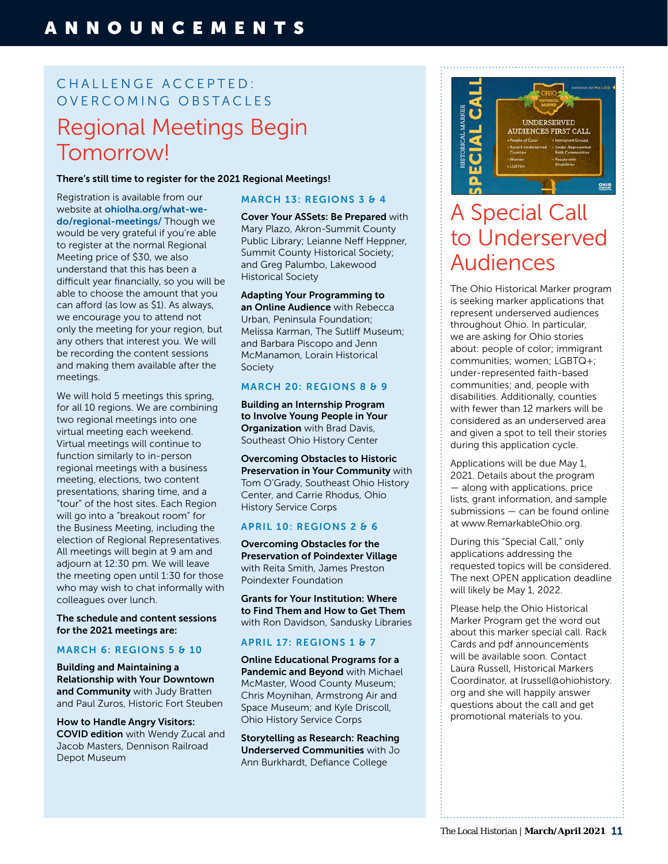### CHALLENGE ACCEPTED: OVERCOMING OBSTACLES Regional Meetings Begin Tomorrow!

There's still time to register for the 2021 Regional Meetings!

Registration is available from our website at [ohiolha.org/what-we](https://ohiolha.org/what-we-do/regional-meetings/)[do/regional-meetings/](https://ohiolha.org/what-we-do/regional-meetings/) Though we would be very grateful if you're able to register at the normal Regional Meeting price of \$30, we also understand that this has been a difficult year financially, so you will be able to choose the amount that you can afford (as low as \$1). As always, we encourage you to attend not only the meeting for your region, but any others that interest you. We will be recording the content sessions and making them available after the meetings.

We will hold 5 meetings this spring, for all 10 regions. We are combining two regional meetings into one virtual meeting each weekend. Virtual meetings will continue to function similarly to in-person regional meetings with a business meeting, elections, two content presentations, sharing time, and a "tour" of the host sites. Each Region will go into a "breakout room" for the Business Meeting, including the election of Regional Representatives. All meetings will begin at 9 am and adjourn at 12:30 pm. We will leave the meeting open until 1:30 for those who may wish to chat informally with colleagues over lunch.

The schedule and content sessions for the 2021 meetings are:

#### MARCH 6: REGIONS 5 & 10

Building and Maintaining a Relationship with Your Downtown and Community with Judy Bratten and Paul Zuros, Historic Fort Steuben

How to Handle Angry Visitors: COVID edition with Wendy Zucal and Jacob Masters, Dennison Railroad Depot Museum

#### MARCH 13: REGIONS 3 & 4

Cover Your ASSets: Be Prepared with Mary Plazo, Akron-Summit County Public Library; Leianne Neff Heppner, Summit County Historical Society; and Greg Palumbo, Lakewood Historical Society

#### Adapting Your Programming to an Online Audience with Rebecca Urban, Peninsula Foundation;

Melissa Karman, The Sutliff Museum; and Barbara Piscopo and Jenn McManamon, Lorain Historical Society

#### MARCH 20: REGIONS 8 & 9

Building an Internship Program to Involve Young People in Your **Organization** with Brad Davis, Southeast Ohio History Center

Overcoming Obstacles to Historic Preservation in Your Community with Tom O'Grady, Southeast Ohio History Center, and Carrie Rhodus, Ohio History Service Corps

#### APRIL 10: REGIONS 2 & 6

Overcoming Obstacles for the Preservation of Poindexter Village with Reita Smith, James Preston Poindexter Foundation

Grants for Your Institution: Where to Find Them and How to Get Them with Ron Davidson, Sandusky Libraries

#### APRIL 17: REGIONS 1 & 7

Online Educational Programs for a Pandemic and Beyond with Michael McMaster, Wood County Museum; Chris Moynihan, Armstrong Air and Space Museum; and Kyle Driscoll, Ohio History Service Corps

Storytelling as Research: Reaching Underserved Communities with Jo Ann Burkhardt, Defiance College



# A Special Call to Underserved Audiences

The Ohio Historical Marker program is seeking marker applications that represent underserved audiences throughout Ohio. In particular, we are asking for Ohio stories about: people of color; immigrant communities; women; LGBTQ+; under-represented faith-based communities; and, people with disabilities. Additionally, counties with fewer than 12 markers will be considered as an underserved area and given a spot to tell their stories during this application cycle.

Applications will be due May 1, 2021. Details about the program — along with applications, price lists, grant information, and sample submissions — can be found online at [www.RemarkableOhio.org.](http://www.RemarkableOhio.org)

During this "Special Call," only applications addressing the requested topics will be considered. The next OPEN application deadline will likely be May 1, 2022.

Please help the Ohio Historical Marker Program get the word out about this marker special call. Rack Cards and pdf announcements will be available soon. Contact Laura Russell, Historical Markers Coordinator, at [lrussell@ohiohistory.](mailto:lrussell@ohiohistory.org) [org](mailto:lrussell@ohiohistory.org) and she will happily answer questions about the call and get promotional materials to you.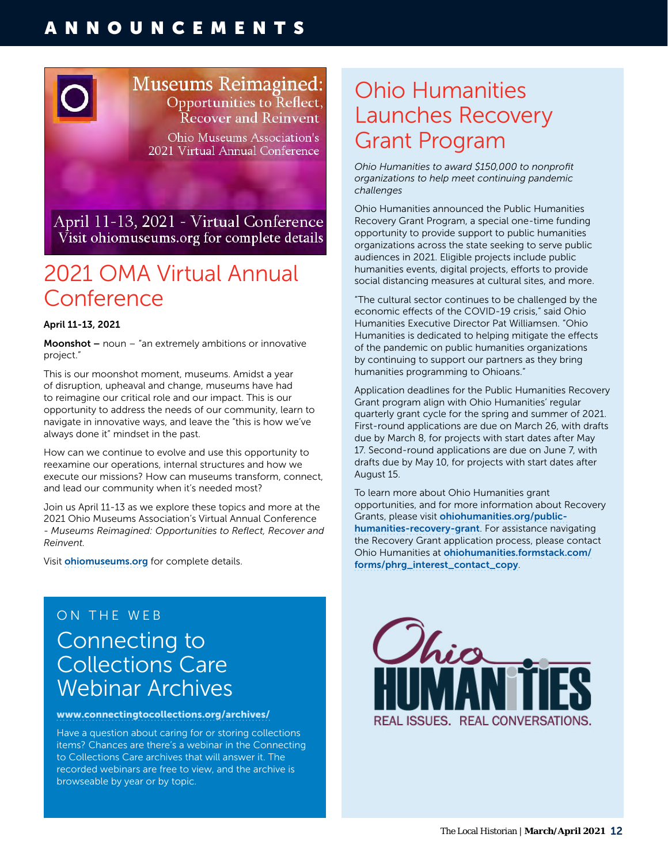### ANNOUNCEMENTS



April 11-13, 2021 - Virtual Conference Visit ohiomuseums.org for complete details

## 2021 OMA Virtual Annual Conference

#### April 11-13, 2021

**Moonshot** – noun – "an extremely ambitions or innovative project."

This is our moonshot moment, museums. Amidst a year of disruption, upheaval and change, museums have had to reimagine our critical role and our impact. This is our opportunity to address the needs of our community, learn to navigate in innovative ways, and leave the "this is how we've always done it" mindset in the past.

How can we continue to evolve and use this opportunity to reexamine our operations, internal structures and how we execute our missions? How can museums transform, connect, and lead our community when it's needed most?

Join us April 11-13 as we explore these topics and more at the 2021 Ohio Museums Association's Virtual Annual Conference - *Museums Reimagined: Opportunities to Reflect, Recover and Reinvent.*

Visit [ohiomuseums.org](https://www.ohiomuseums.org/) for complete details.

### ON THE WEB Connecting to Collections Care Webinar Archives

#### [www.connectingtocollections.org/archives/](https://www.connectingtocollections.org/archives/)

Have a question about caring for or storing collections items? Chances are there's a webinar in the Connecting to Collections Care archives that will answer it. The recorded webinars are free to view, and the archive is browseable by year or by topic.

## Ohio Humanities Launches Recovery Grant Program

*Ohio Humanities to award \$150,000 to nonprofit organizations to help meet continuing pandemic challenges* 

Ohio Humanities announced the Public Humanities Recovery Grant Program, a special one-time funding opportunity to provide support to public humanities organizations across the state seeking to serve public audiences in 2021. Eligible projects include public humanities events, digital projects, efforts to provide social distancing measures at cultural sites, and more.

"The cultural sector continues to be challenged by the economic effects of the COVID-19 crisis," said Ohio Humanities Executive Director Pat Williamsen. "Ohio Humanities is dedicated to helping mitigate the effects of the pandemic on public humanities organizations by continuing to support our partners as they bring humanities programming to Ohioans."

Application deadlines for the Public Humanities Recovery Grant program align with Ohio Humanities' regular quarterly grant cycle for the spring and summer of 2021. First-round applications are due on March 26, with drafts due by March 8, for projects with start dates after May 17. Second-round applications are due on June 7, with drafts due by May 10, for projects with start dates after August 15.

To learn more about Ohio Humanities grant opportunities, and for more information about Recovery Grants, please visit [ohiohumanities.org/public](http://www.ohiohumanities.org/public-humanities-recovery-grant/)[humanities-recovery-grant](http://www.ohiohumanities.org/public-humanities-recovery-grant/). For assistance navigating the Recovery Grant application process, please contact Ohio Humanities at [ohiohumanities.formstack.com/](https://ohiohumanities.formstack.com/forms/phrg_interest_contact_copy) [forms/phrg\\_interest\\_contact\\_copy](https://ohiohumanities.formstack.com/forms/phrg_interest_contact_copy).

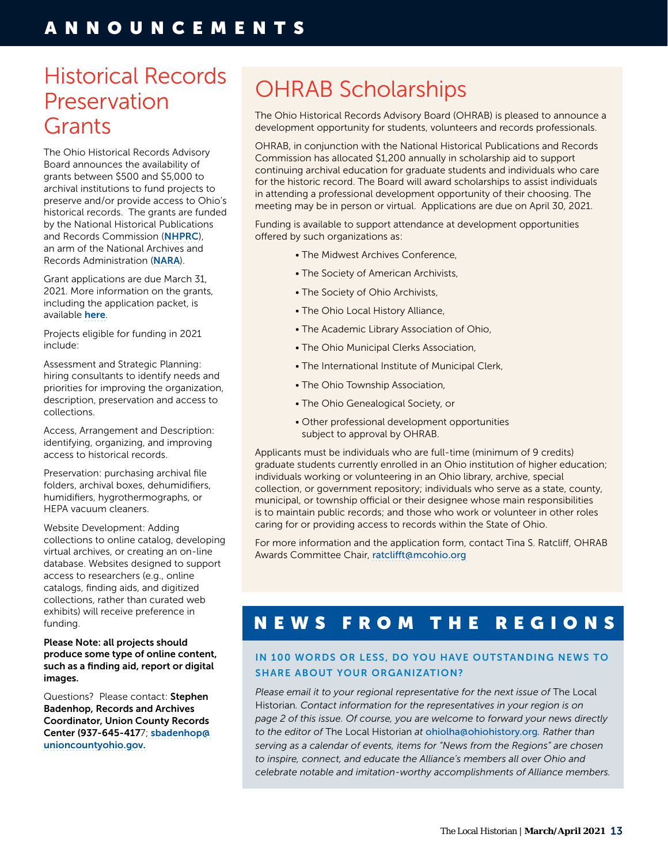## <span id="page-12-0"></span>Historical Records Preservation **Grants**

The Ohio Historical Records Advisory Board announces the availability of grants between \$500 and \$5,000 to archival institutions to fund projects to preserve and/or provide access to Ohio's historical records. The grants are funded by the National Historical Publications and Records Commission ([NHPRC](https://www.archives.gov/nhprc)), an arm of the National Archives and Records Administration ([NARA](https://www.archives.gov/)).

Grant applications are due March 31, 2021. More information on the grants, including the application packet, is available [here](http://www.ohrab.org/grants/regrant/).

Projects eligible for funding in 2021 include:

Assessment and Strategic Planning: hiring consultants to identify needs and priorities for improving the organization, description, preservation and access to collections.

Access, Arrangement and Description: identifying, organizing, and improving access to historical records.

Preservation: purchasing archival file folders, archival boxes, dehumidifiers, humidifiers, hygrothermographs, or HEPA vacuum cleaners.

Website Development: Adding collections to online catalog, developing virtual archives, or creating an on-line database. Websites designed to support access to researchers (e.g., online catalogs, finding aids, and digitized collections, rather than curated web exhibits) will receive preference in funding.

Please Note: all projects should produce some type of online content, such as a finding aid, report or digital images.

Questions? Please contact: Stephen Badenhop, Records and Archives Coordinator, Union County Records Center (937-645-4177; [sbadenhop@](mailto:sbadenhop@unioncountyohio.gov) [unioncountyohio.gov](mailto:sbadenhop@unioncountyohio.gov).

# OHRAB Scholarships

The Ohio Historical Records Advisory Board (OHRAB) is pleased to announce a development opportunity for students, volunteers and records professionals.

OHRAB, in conjunction with the National Historical Publications and Records Commission has allocated \$1,200 annually in scholarship aid to support continuing archival education for graduate students and individuals who care for the historic record. The Board will award scholarships to assist individuals in attending a professional development opportunity of their choosing. The meeting may be in person or virtual. Applications are due on April 30, 2021.

Funding is available to support attendance at development opportunities offered by such organizations as:

- The Midwest Archives Conference,
- The Society of American Archivists,
- The Society of Ohio Archivists,
- The Ohio Local History Alliance,
- The Academic Library Association of Ohio,
- The Ohio Municipal Clerks Association,
- The International Institute of Municipal Clerk,
- The Ohio Township Association,
- The Ohio Genealogical Society, or
- Other professional development opportunities subject to approval by OHRAB.

Applicants must be individuals who are full-time (minimum of 9 credits) graduate students currently enrolled in an Ohio institution of higher education; individuals working or volunteering in an Ohio library, archive, special collection, or government repository; individuals who serve as a state, county, municipal, or township official or their designee whose main responsibilities is to maintain public records; and those who work or volunteer in other roles caring for or providing access to records within the State of Ohio.

For more information and the application form, contact Tina S. Ratcliff, OHRAB Awards Committee Chair, [ratclifft@mcohio.org](mailto:ratclifft@mcohio.org)

### NEWS FROM THE REGIONS

#### IN 100 WORDS OR LESS, DO YOU HAVE OUTSTANDING NEWS TO SHARE ABOUT YOUR ORGANIZATION?

Please email it to your regional representative for the next issue of The Local Historian*. Contact information for the representatives in your region is on page 2 of this issue. Of course, you are welcome to forward your news directly to the editor of* The Local Historian *at* [ohiolha@ohiohistory.org](mailto:ohiolha@ohiohistory.org)*. Rather than serving as a calendar of events, items for "News from the Regions" are chosen to inspire, connect, and educate the Alliance's members all over Ohio and celebrate notable and imitation-worthy accomplishments of Alliance members.*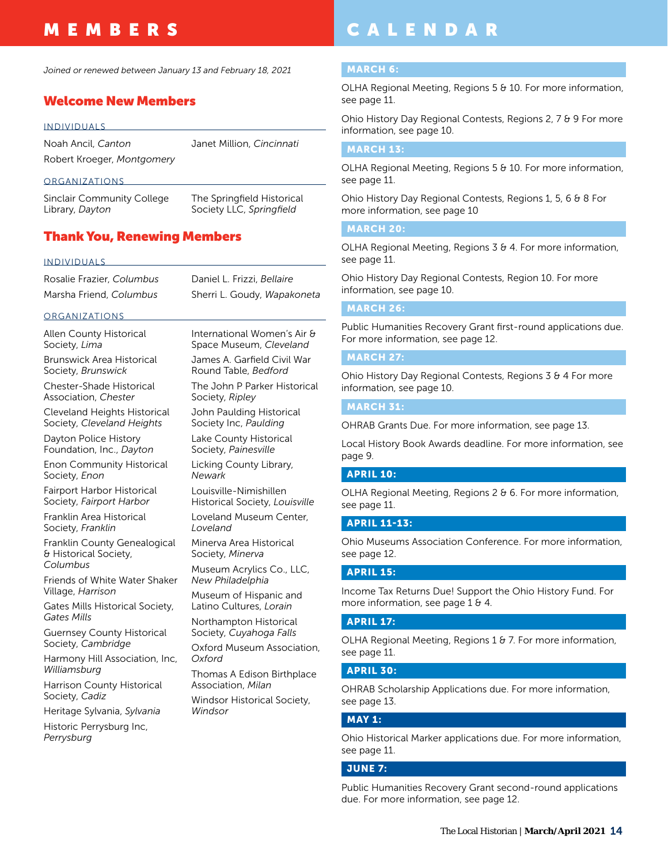### <span id="page-13-0"></span>MEMBERS

*Joined or renewed between January 13 and February 18, 2021*

#### Welcome New Members

#### INDIVIDUALS

Noah Ancil, *Canton* Robert Kroeger, *Montgomery* Janet Million, *Cincinnati*

#### ORGANIZATIONS

Sinclair Community College Library, *Dayton*

The Springfield Historical Society LLC, *Springfield*

### Thank You, Renewing Members

#### INDIVIDUALS

| Rosalie Frazier, Columbus |  |
|---------------------------|--|
| Marsha Friend, Columbus   |  |

Daniel L. Frizzi, *Bellaire* Sherri L. Goudy, *Wapakoneta*

#### ORGANIZATIONS

Allen County Historical Society, *Lima*

Brunswick Area Historical Society, *Brunswick*

Chester-Shade Historical Association, *Chester*

Cleveland Heights Historical Society, *Cleveland Heights*

Dayton Police History Foundation, Inc., *Dayton*

Enon Community Historical Society, *Enon*

Fairport Harbor Historical Society, *Fairport Harbor*

Franklin Area Historical Society, *Franklin*

Franklin County Genealogical & Historical Society, *Columbus*

Friends of White Water Shaker Village, *Harrison*

Gates Mills Historical Society, *Gates Mills*

Guernsey County Historical Society, *Cambridge*

Harmony Hill Association, Inc, *Williamsburg*

Harrison County Historical Society, *Cadiz*

Heritage Sylvania, *Sylvania*

Historic Perrysburg Inc, *Perrysburg*

International Women's Air & Space Museum, *Cleveland*

James A. Garfield Civil War Round Table, *Bedford*

The John P Parker Historical Society, *Ripley*

John Paulding Historical Society Inc, *Paulding*

Lake County Historical Society, *Painesville*

Licking County Library, *Newark*

Louisville-Nimishillen Historical Society, *Louisville*

Loveland Museum Center, *Loveland*

Minerva Area Historical Society, *Minerva*

Museum Acrylics Co., LLC, *New Philadelphia*

Museum of Hispanic and Latino Cultures, *Lorain*

Northampton Historical Society, *Cuyahoga Falls*

Oxford Museum Association, *Oxford*

Thomas A Edison Birthplace Association, *Milan*

Windsor Historical Society, *Windsor*

### CALENDAR

#### MARCH 6:

OLHA Regional Meeting, Regions 5 & 10. For more information, see page 11.

Ohio History Day Regional Contests, Regions 2, 7 & 9 For more information, see page 10.

#### MARCH 13:

OLHA Regional Meeting, Regions 5 & 10. For more information, see page 11.

Ohio History Day Regional Contests, Regions 1, 5, 6 & 8 For more information, see page 10

#### MARCH 20:

OLHA Regional Meeting, Regions 3 & 4. For more information, see page 11.

Ohio History Day Regional Contests, Region 10. For more information, see page 10.

#### MARCH 26:

Public Humanities Recovery Grant first-round applications due. For more information, see page 12.

#### MARCH 27:

Ohio History Day Regional Contests, Regions 3 & 4 For more information, see page 10.

#### MARCH 31:

OHRAB Grants Due. For more information, see page 13.

Local History Book Awards deadline. For more information, see page 9.

#### APRIL 10:

OLHA Regional Meeting, Regions 2 & 6. For more information, see page 11.

#### APRIL 11-13:

Ohio Museums Association Conference. For more information, see page 12.

#### APRIL 15:

Income Tax Returns Due! Support the Ohio History Fund. For more information, see page 1 & 4.

#### APRIL 17:

OLHA Regional Meeting, Regions 1 & 7. For more information, see page 11.

#### APRIL 30:

OHRAB Scholarship Applications due. For more information, see page 13.

#### MAY 1:

Ohio Historical Marker applications due. For more information, see page 11.

#### JUNE 7:

Public Humanities Recovery Grant second-round applications due. For more information, see page 12.